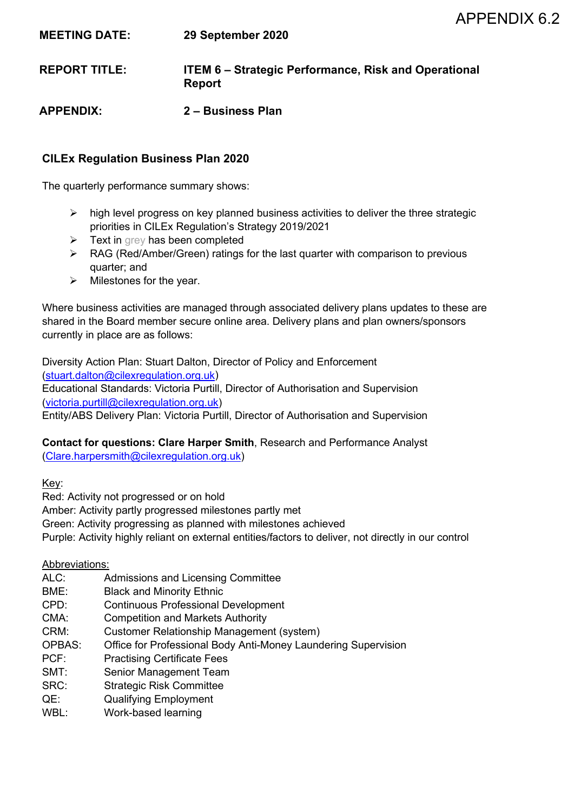| <b>MEETING DATE:</b> | 29 September 2020                                                            |
|----------------------|------------------------------------------------------------------------------|
| <b>REPORT TITLE:</b> | <b>ITEM 6 – Strategic Performance, Risk and Operational</b><br><b>Report</b> |
| <b>APPENDIX:</b>     | 2 – Business Plan                                                            |

#### **CILEx Regulation Business Plan 2020**

The quarterly performance summary shows:

- $\triangleright$  high level progress on key planned business activities to deliver the three strategic priorities in CILEx Regulation's Strategy 2019/2021
- $\triangleright$  Text in grey has been completed
- ▶ RAG (Red/Amber/Green) ratings for the last quarter with comparison to previous quarter; and
- $\triangleright$  Milestones for the year.

Where business activities are managed through associated delivery plans updates to these are shared in the Board member secure online area. Delivery plans and plan owners/sponsors currently in place are as follows:

Diversity Action Plan: Stuart Dalton, Director of Policy and Enforcement [\(stuart.dalton@cilexregulation.org.uk\)](mailto:stuart.dalton@cilexregulation.org.uk) Educational Standards: Victoria Purtill, Director of Authorisation and Supervision [\(victoria.purtill@cilexregulation.org.uk\)](mailto:victoria.purtill@cilexregulation.org.uk) Entity/ABS Delivery Plan: Victoria Purtill, Director of Authorisation and Supervision

# **Contact for questions: Clare Harper Smith**, Research and Performance Analyst

[\(Clare.harpersmith@cilexregulation.org.uk\)](mailto:Clare.harpersmith@cilexregulation.org.uk)

Key:

Red: Activity not progressed or on hold

Amber: Activity partly progressed milestones partly met

Green: Activity progressing as planned with milestones achieved

Purple: Activity highly reliant on external entities/factors to deliver, not directly in our control

#### Abbreviations:

- ALC: Admissions and Licensing Committee
- BME: Black and Minority Ethnic
- CPD: Continuous Professional Development
- CMA: Competition and Markets Authority
- CRM: Customer Relationship Management (system)
- OPBAS: Office for Professional Body Anti-Money Laundering Supervision
- PCF: Practising Certificate Fees
- SMT: Senior Management Team
- SRC: Strategic Risk Committee
- QE: Qualifying Employment
- WBL: Work-based learning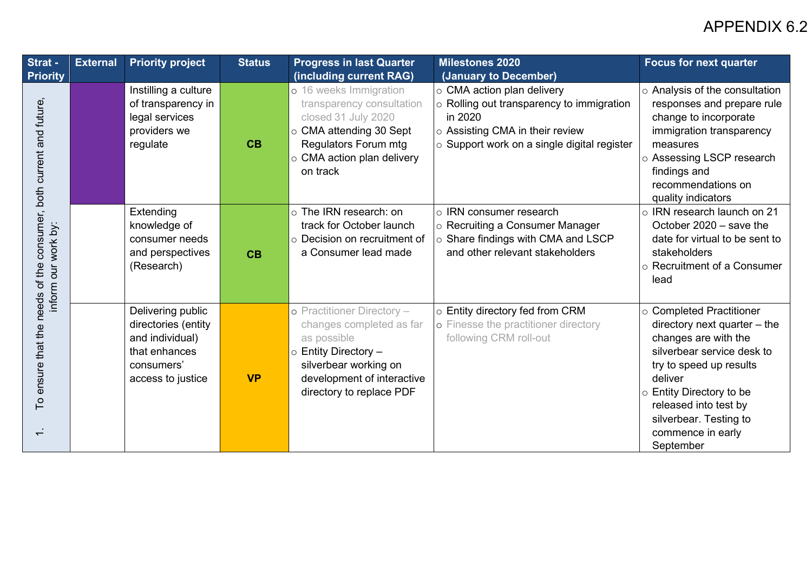| Strat -                                                                            | <b>External</b> | <b>Priority project</b>                                                                                         | <b>Status</b> | <b>Progress in last Quarter</b>                                                                                                                                                                          | <b>Milestones 2020</b>                                                                                                                                                                                    | <b>Focus for next quarter</b>                                                                                                                                                                                                                                                 |
|------------------------------------------------------------------------------------|-----------------|-----------------------------------------------------------------------------------------------------------------|---------------|----------------------------------------------------------------------------------------------------------------------------------------------------------------------------------------------------------|-----------------------------------------------------------------------------------------------------------------------------------------------------------------------------------------------------------|-------------------------------------------------------------------------------------------------------------------------------------------------------------------------------------------------------------------------------------------------------------------------------|
| <b>Priority</b><br>ensure that the needs of the consumer, both current and future, |                 | Instilling a culture<br>of transparency in<br>legal services<br>providers we<br>regulate                        | CB            | (including current RAG)<br>o 16 weeks Immigration<br>transparency consultation<br>closed 31 July 2020<br>○ CMA attending 30 Sept<br>Regulators Forum mtg<br>$\circ$ CMA action plan delivery<br>on track | (January to December)<br>$\circ$ CMA action plan delivery<br>$\circ$ Rolling out transparency to immigration<br>in 2020<br>○ Assisting CMA in their review<br>o Support work on a single digital register | $\circ$ Analysis of the consultation<br>responses and prepare rule<br>change to incorporate<br>immigration transparency<br>measures<br>○ Assessing LSCP research<br>findings and<br>recommendations on<br>quality indicators                                                  |
| inform our work by:                                                                |                 | Extending<br>knowledge of<br>consumer needs<br>and perspectives<br>(Research)                                   | CB            | o The IRN research: on<br>track for October launch<br>$\circ$ Decision on recruitment of<br>a Consumer lead made                                                                                         | o IRN consumer research<br>$\circ$ Recruiting a Consumer Manager<br>$\circ$ Share findings with CMA and LSCP<br>and other relevant stakeholders                                                           | $\circ$ IRN research launch on 21<br>October 2020 - save the<br>date for virtual to be sent to<br>stakeholders<br>$\circ$ Recruitment of a Consumer<br>lead                                                                                                                   |
| P<br>$\overline{\phantom{0}}$                                                      |                 | Delivering public<br>directories (entity<br>and individual)<br>that enhances<br>consumers'<br>access to justice | <b>VP</b>     | o Practitioner Directory -<br>changes completed as far<br>as possible<br>$\circ$ Entity Directory -<br>silverbear working on<br>development of interactive<br>directory to replace PDF                   | $\circ$ Entity directory fed from CRM<br>o Finesse the practitioner directory<br>following CRM roll-out                                                                                                   | $\circ$ Completed Practitioner<br>directory next quarter $-$ the<br>changes are with the<br>silverbear service desk to<br>try to speed up results<br>deliver<br>○ Entity Directory to be<br>released into test by<br>silverbear. Testing to<br>commence in early<br>September |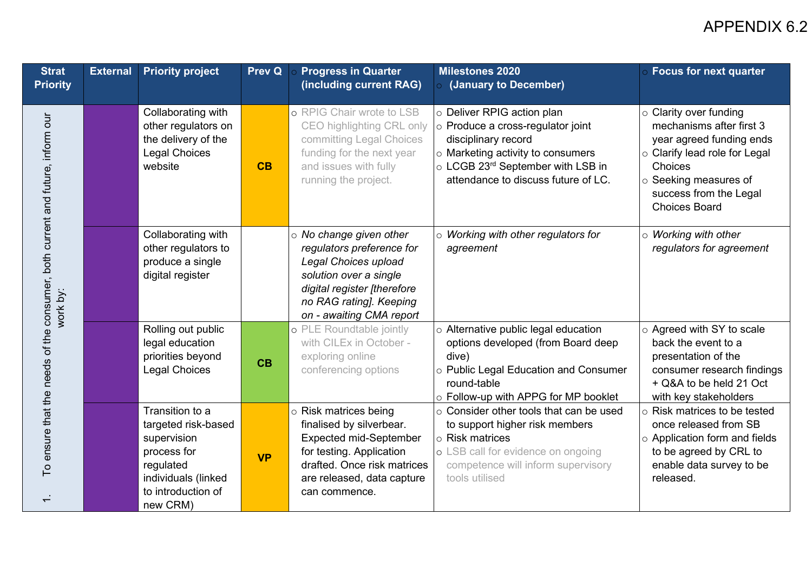| <b>Strat</b><br><b>Priority</b>                                                           | <b>External</b> | <b>Priority project</b>                                                                                                                    | <b>Prev Q</b> | <b>Progress in Quarter</b><br>(including current RAG)                                                                                                                                              | <b>Milestones 2020</b><br>(January to December)                                                                                                                                                         | <b>Focus for next quarter</b>                                                                                                                                                                                           |
|-------------------------------------------------------------------------------------------|-----------------|--------------------------------------------------------------------------------------------------------------------------------------------|---------------|----------------------------------------------------------------------------------------------------------------------------------------------------------------------------------------------------|---------------------------------------------------------------------------------------------------------------------------------------------------------------------------------------------------------|-------------------------------------------------------------------------------------------------------------------------------------------------------------------------------------------------------------------------|
| To ensure that the needs of the consumer, both current and future, inform our<br>work by: |                 | Collaborating with<br>other regulators on<br>the delivery of the<br><b>Legal Choices</b><br>website                                        | CB            | o RPIG Chair wrote to LSB<br>CEO highlighting CRL only<br>committing Legal Choices<br>funding for the next year<br>and issues with fully<br>running the project.                                   | o Deliver RPIG action plan<br>o Produce a cross-regulator joint<br>disciplinary record<br>o Marketing activity to consumers<br>o LCGB 23rd September with LSB in<br>attendance to discuss future of LC. | $\circ$ Clarity over funding<br>mechanisms after first 3<br>year agreed funding ends<br>$\circ$ Clarify lead role for Legal<br>Choices<br>$\circ$ Seeking measures of<br>success from the Legal<br><b>Choices Board</b> |
|                                                                                           |                 | Collaborating with<br>other regulators to<br>produce a single<br>digital register                                                          |               | $\circ$ No change given other<br>regulators preference for<br>Legal Choices upload<br>solution over a single<br>digital register [therefore<br>no RAG rating]. Keeping<br>on - awaiting CMA report | $\circ$ Working with other regulators for<br>agreement                                                                                                                                                  | $\circ$ Working with other<br>regulators for agreement                                                                                                                                                                  |
|                                                                                           |                 | Rolling out public<br>legal education<br>priorities beyond<br><b>Legal Choices</b>                                                         | CB            | o PLE Roundtable jointly<br>with CILEx in October -<br>exploring online<br>conferencing options                                                                                                    | o Alternative public legal education<br>options developed (from Board deep<br>dive)<br>o Public Legal Education and Consumer<br>round-table<br>o Follow-up with APPG for MP booklet                     | ○ Agreed with SY to scale<br>back the event to a<br>presentation of the<br>consumer research findings<br>+ Q&A to be held 21 Oct<br>with key stakeholders                                                               |
|                                                                                           |                 | Transition to a<br>targeted risk-based<br>supervision<br>process for<br>regulated<br>individuals (linked<br>to introduction of<br>new CRM) | <b>VP</b>     | $\circ$ Risk matrices being<br>finalised by silverbear.<br><b>Expected mid-September</b><br>for testing. Application<br>drafted. Once risk matrices<br>are released, data capture<br>can commence. | $\circ$ Consider other tools that can be used<br>to support higher risk members<br>$\circ$ Risk matrices<br>o LSB call for evidence on ongoing<br>competence will inform supervisory<br>tools utilised  | $\circ$ Risk matrices to be tested<br>once released from SB<br>$\circ$ Application form and fields<br>to be agreed by CRL to<br>enable data survey to be<br>released.                                                   |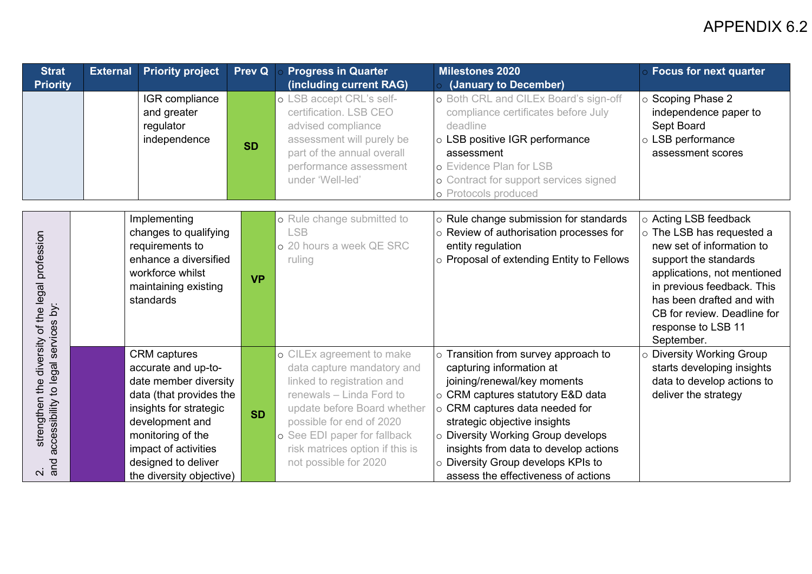| <b>Strat</b>                                                 | <b>External</b> | <b>Priority project</b>                                                                                                                                                                                                                     | <b>Prev Q</b> | <b>Progress in Quarter</b>                                                                                                                                                                                                                                               | <b>Milestones 2020</b>                                                                                                                                                                                                                                                                                                                                                   | <b>Focus for next quarter</b>                                                                                                                                                                                                                                         |
|--------------------------------------------------------------|-----------------|---------------------------------------------------------------------------------------------------------------------------------------------------------------------------------------------------------------------------------------------|---------------|--------------------------------------------------------------------------------------------------------------------------------------------------------------------------------------------------------------------------------------------------------------------------|--------------------------------------------------------------------------------------------------------------------------------------------------------------------------------------------------------------------------------------------------------------------------------------------------------------------------------------------------------------------------|-----------------------------------------------------------------------------------------------------------------------------------------------------------------------------------------------------------------------------------------------------------------------|
| <b>Priority</b>                                              |                 |                                                                                                                                                                                                                                             |               | (including current RAG)                                                                                                                                                                                                                                                  | (January to December)                                                                                                                                                                                                                                                                                                                                                    |                                                                                                                                                                                                                                                                       |
|                                                              |                 | IGR compliance<br>and greater<br>regulator<br>independence                                                                                                                                                                                  | <b>SD</b>     | o LSB accept CRL's self-<br>certification. LSB CEO<br>advised compliance<br>assessment will purely be<br>part of the annual overall<br>performance assessment<br>under 'Well-led'                                                                                        | o Both CRL and CILEx Board's sign-off<br>compliance certificates before July<br>deadline<br>o LSB positive IGR performance<br>assessment<br>o Evidence Plan for LSB<br>o Contract for support services signed<br>o Protocols produced                                                                                                                                    | $\circ$ Scoping Phase 2<br>independence paper to<br>Sept Board<br>o LSB performance<br>assessment scores                                                                                                                                                              |
| strengthen the diversity of the legal profession             |                 | Implementing<br>changes to qualifying<br>requirements to<br>enhance a diversified<br>workforce whilst<br>maintaining existing<br>standards                                                                                                  | <b>VP</b>     | o Rule change submitted to<br><b>LSB</b><br>o 20 hours a week QE SRC<br>ruling                                                                                                                                                                                           | o Rule change submission for standards<br>$\circ$ Review of authorisation processes for<br>entity regulation<br>o Proposal of extending Entity to Fellows                                                                                                                                                                                                                | ○ Acting LSB feedback<br>o The LSB has requested a<br>new set of information to<br>support the standards<br>applications, not mentioned<br>in previous feedback. This<br>has been drafted and with<br>CB for review. Deadline for<br>response to LSB 11<br>September. |
| accessibility to legal services by:<br>and<br>$\overline{N}$ |                 | <b>CRM</b> captures<br>accurate and up-to-<br>date member diversity<br>data (that provides the<br>insights for strategic<br>development and<br>monitoring of the<br>impact of activities<br>designed to deliver<br>the diversity objective) | <b>SD</b>     | o CILEx agreement to make<br>data capture mandatory and<br>linked to registration and<br>renewals - Linda Ford to<br>update before Board whether<br>possible for end of 2020<br>o See EDI paper for fallback<br>risk matrices option if this is<br>not possible for 2020 | $\circ$ Transition from survey approach to<br>capturing information at<br>joining/renewal/key moments<br>○ CRM captures statutory E&D data<br>○ CRM captures data needed for<br>strategic objective insights<br>o Diversity Working Group develops<br>insights from data to develop actions<br>o Diversity Group develops KPIs to<br>assess the effectiveness of actions | o Diversity Working Group<br>starts developing insights<br>data to develop actions to<br>deliver the strategy                                                                                                                                                         |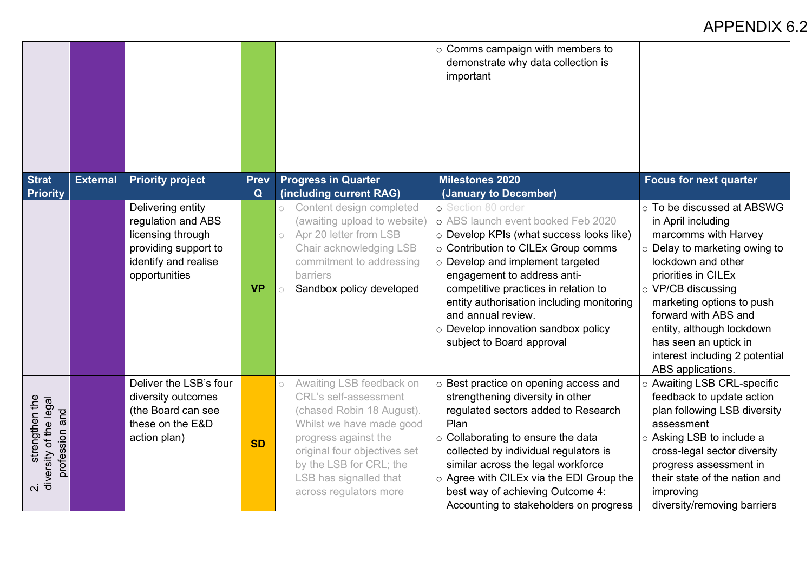|                                                       |                 |                                                                                                                               |                  |                                                                                                                                                                                                                                                                     | $\circ$ Comms campaign with members to<br>demonstrate why data collection is<br>important                                                                                                                                                                                                                                                                                                     |                                                                                                                                                                                                                                                                                                                                                      |
|-------------------------------------------------------|-----------------|-------------------------------------------------------------------------------------------------------------------------------|------------------|---------------------------------------------------------------------------------------------------------------------------------------------------------------------------------------------------------------------------------------------------------------------|-----------------------------------------------------------------------------------------------------------------------------------------------------------------------------------------------------------------------------------------------------------------------------------------------------------------------------------------------------------------------------------------------|------------------------------------------------------------------------------------------------------------------------------------------------------------------------------------------------------------------------------------------------------------------------------------------------------------------------------------------------------|
| <b>Strat</b><br><b>Priority</b>                       | <b>External</b> | <b>Priority project</b>                                                                                                       | <b>Prev</b><br>Q | <b>Progress in Quarter</b><br>(including current RAG)                                                                                                                                                                                                               | <b>Milestones 2020</b><br>(January to December)                                                                                                                                                                                                                                                                                                                                               | <b>Focus for next quarter</b>                                                                                                                                                                                                                                                                                                                        |
|                                                       |                 | Delivering entity<br>regulation and ABS<br>licensing through<br>providing support to<br>identify and realise<br>opportunities | <b>VP</b>        | Content design completed<br>$\bigcirc$<br>(awaiting upload to website)<br>Apr 20 letter from LSB<br>$\bigcirc$<br>Chair acknowledging LSB<br>commitment to addressing<br><b>barriers</b><br>Sandbox policy developed<br>$\circ$                                     | o Section 80 order<br>o ABS launch event booked Feb 2020<br>o Develop KPIs (what success looks like)<br>○ Contribution to CILEx Group comms<br>o Develop and implement targeted<br>engagement to address anti-<br>competitive practices in relation to<br>entity authorisation including monitoring<br>and annual review.<br>o Develop innovation sandbox policy<br>subject to Board approval | ○ To be discussed at ABSWG<br>in April including<br>marcomms with Harvey<br>$\circ$ Delay to marketing owing to<br>lockdown and other<br>priorities in CILEx<br>o VP/CB discussing<br>marketing options to push<br>forward with ABS and<br>entity, although lockdown<br>has seen an uptick in<br>interest including 2 potential<br>ABS applications. |
| 2. streng<br>diversity of the legal<br>profession and |                 | Deliver the LSB's four<br>diversity outcomes<br>(the Board can see<br>these on the E&D<br>action plan)                        | <b>SD</b>        | Awaiting LSB feedback on<br>$\circ$<br><b>CRL's self-assessment</b><br>(chased Robin 18 August).<br>Whilst we have made good<br>progress against the<br>original four objectives set<br>by the LSB for CRL; the<br>LSB has signalled that<br>across regulators more | o Best practice on opening access and<br>strengthening diversity in other<br>regulated sectors added to Research<br>Plan<br>○ Collaborating to ensure the data<br>collected by individual regulators is<br>similar across the legal workforce<br>o Agree with CILEx via the EDI Group the<br>best way of achieving Outcome 4:<br>Accounting to stakeholders on progress                       | o Awaiting LSB CRL-specific<br>feedback to update action<br>plan following LSB diversity<br>assessment<br>○ Asking LSB to include a<br>cross-legal sector diversity<br>progress assessment in<br>their state of the nation and<br>improving<br>diversity/removing barriers                                                                           |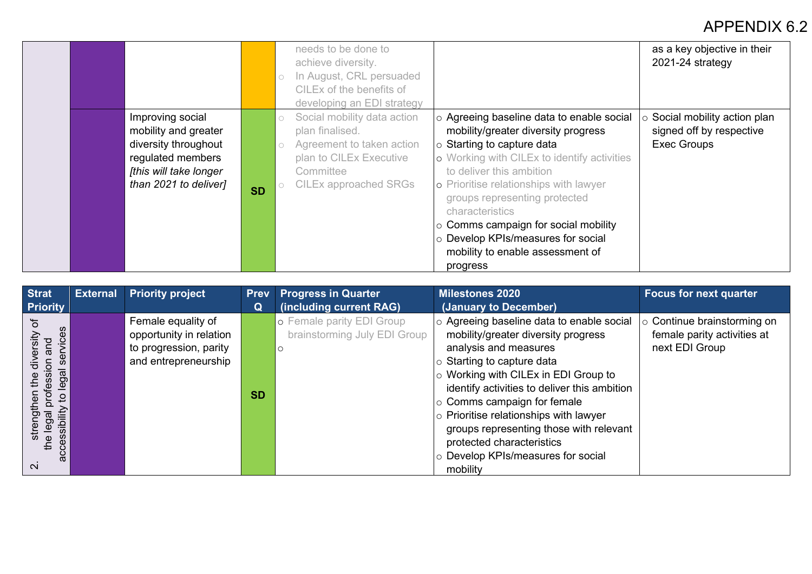|                                                                                                                                          |           | needs to be done to<br>achieve diversity.<br>In August, CRL persuaded<br>CILEx of the benefits of<br>developing an EDI strategy                                           |                                                                                                                                                                                                                                                                                                                                                                                                                                   | as a key objective in their<br>2021-24 strategy                        |
|------------------------------------------------------------------------------------------------------------------------------------------|-----------|---------------------------------------------------------------------------------------------------------------------------------------------------------------------------|-----------------------------------------------------------------------------------------------------------------------------------------------------------------------------------------------------------------------------------------------------------------------------------------------------------------------------------------------------------------------------------------------------------------------------------|------------------------------------------------------------------------|
| Improving social<br>mobility and greater<br>diversity throughout<br>regulated members<br>[this will take longer<br>than 2021 to deliver] | <b>SD</b> | Social mobility data action<br>$\circ$<br>plan finalised.<br>Agreement to taken action<br>$\circ$<br>plan to CILEx Executive<br>Committee<br><b>CILEx approached SRGs</b> | o Agreeing baseline data to enable social<br>mobility/greater diversity progress<br>$\vert$ Starting to capture data<br>o Working with CILEx to identify activities<br>to deliver this ambition<br>o Prioritise relationships with lawyer<br>groups representing protected<br>characteristics<br>$\circ$ Comms campaign for social mobility<br>o Develop KPIs/measures for social<br>mobility to enable assessment of<br>progress | Social mobility action plan<br>signed off by respective<br>Exec Groups |

| <b>Strat</b>            | <b>External</b> | <b>Priority project</b> | <b>Prev</b> | <b>Progress in Quarter</b>   | <b>Milestones 2020</b>                       | <b>Focus for next quarter</b> |
|-------------------------|-----------------|-------------------------|-------------|------------------------------|----------------------------------------------|-------------------------------|
| <b>Priority</b>         |                 |                         | Q           | (including current RAG)      | (January to December)                        |                               |
| ৳                       |                 | Female equality of      |             | o Female parity EDI Group    | o Agreeing baseline data to enable social    | Continue brainstorming on     |
| vices                   |                 | opportunity in relation |             | brainstorming July EDI Group | mobility/greater diversity progress          | female parity activities at   |
| and                     |                 | to progression, parity  |             |                              | analysis and measures                        | next EDI Group                |
| ser<br><u>등</u><br>ㅎ    |                 | and entrepreneurship    |             |                              | $\circ$ Starting to capture data             |                               |
| legal                   |                 |                         |             |                              | $\circ$ Working with CILEx in EDI Group to   |                               |
| Ö                       |                 |                         | <b>SD</b>   |                              | identify activities to deliver this ambition |                               |
| .ء                      |                 |                         |             |                              | $\vert$ Comms campaign for female            |                               |
| $\overline{\mathsf{g}}$ |                 |                         |             |                              | $\circ$ Prioritise relationships with lawyer |                               |
| essibility              |                 |                         |             |                              | groups representing those with relevant      |                               |
| $\pmb{\mathbb{O}}$<br>ᆠ |                 |                         |             |                              | protected characteristics                    |                               |
| Ō,<br>$\omega$          |                 |                         |             |                              | o Develop KPIs/measures for social           |                               |
| $\mathbf{\Omega}$       |                 |                         |             |                              | mobility                                     |                               |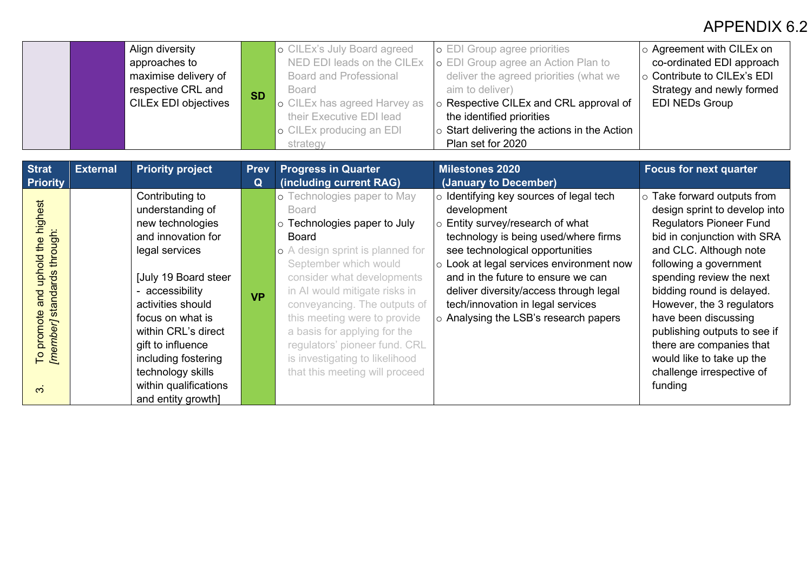|                                                                                    |                 | Align diversity<br>approaches to<br>maximise delivery of<br>respective CRL and<br><b>CILEx EDI objectives</b>                                                                                                                                                                                       | <b>SD</b>        | o CILEx's July Board agreed<br>NED EDI leads on the CILEx<br><b>Board and Professional</b><br><b>Board</b><br>o CILEx has agreed Harvey as<br>their Executive EDI lead<br>o CILEx producing an EDI<br>strategy                                                                                                                                                                                                        | o EDI Group agree priorities<br>o EDI Group agree an Action Plan to<br>deliver the agreed priorities (what we<br>aim to deliver)<br>o Respective CILEx and CRL approval of<br>the identified priorities<br>o Start delivering the actions in the Action<br>Plan set for 2020                                                                                                    | $\circ$ Agreement with CILEx on<br>co-ordinated EDI approach<br>○ Contribute to CILEx's EDI<br>Strategy and newly formed<br><b>EDI NEDs Group</b>                                                                                                                                                                                                                                                                                      |
|------------------------------------------------------------------------------------|-----------------|-----------------------------------------------------------------------------------------------------------------------------------------------------------------------------------------------------------------------------------------------------------------------------------------------------|------------------|-----------------------------------------------------------------------------------------------------------------------------------------------------------------------------------------------------------------------------------------------------------------------------------------------------------------------------------------------------------------------------------------------------------------------|---------------------------------------------------------------------------------------------------------------------------------------------------------------------------------------------------------------------------------------------------------------------------------------------------------------------------------------------------------------------------------|----------------------------------------------------------------------------------------------------------------------------------------------------------------------------------------------------------------------------------------------------------------------------------------------------------------------------------------------------------------------------------------------------------------------------------------|
| <b>Strat</b><br><b>Priority</b>                                                    | <b>External</b> | <b>Priority project</b>                                                                                                                                                                                                                                                                             | <b>Prev</b><br>Q | <b>Progress in Quarter</b><br>(including current RAG)                                                                                                                                                                                                                                                                                                                                                                 | <b>Milestones 2020</b><br>(January to December)                                                                                                                                                                                                                                                                                                                                 | <b>Focus for next quarter</b>                                                                                                                                                                                                                                                                                                                                                                                                          |
| To promote and uphold the highest<br>[member] standards through:<br>$\dot{\infty}$ |                 | Contributing to<br>understanding of<br>new technologies<br>and innovation for<br>legal services<br>July 19 Board steer<br>- accessibility<br>activities should<br>focus on what is<br>within CRL's direct<br>gift to influence<br>including fostering<br>technology skills<br>within qualifications | <b>VP</b>        | o Technologies paper to May<br><b>Board</b><br>o Technologies paper to July<br>Board<br>o A design sprint is planned for<br>September which would<br>consider what developments<br>in AI would mitigate risks in<br>conveyancing. The outputs of<br>this meeting were to provide<br>a basis for applying for the<br>regulators' pioneer fund. CRL<br>is investigating to likelihood<br>that this meeting will proceed | o Identifying key sources of legal tech<br>development<br>o Entity survey/research of what<br>technology is being used/where firms<br>see technological opportunities<br>o Look at legal services environment now<br>and in the future to ensure we can<br>deliver diversity/access through legal<br>tech/innovation in legal services<br>o Analysing the LSB's research papers | $\circ$ Take forward outputs from<br>design sprint to develop into<br><b>Regulators Pioneer Fund</b><br>bid in conjunction with SRA<br>and CLC. Although note<br>following a government<br>spending review the next<br>bidding round is delayed.<br>However, the 3 regulators<br>have been discussing<br>publishing outputs to see if<br>there are companies that<br>would like to take up the<br>challenge irrespective of<br>funding |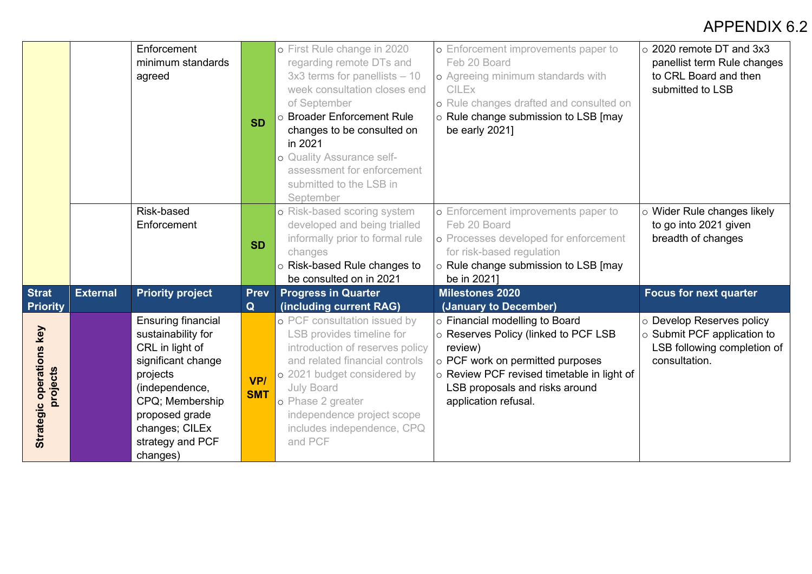|                                      |                 | Enforcement<br>minimum standards<br>agreed                                                                                                                                                                    | <b>SD</b>         | o First Rule change in 2020<br>regarding remote DTs and<br>$3x3$ terms for panellists $-10$<br>week consultation closes end<br>of September<br>o Broader Enforcement Rule<br>changes to be consulted on<br>in 2021<br>o Quality Assurance self-<br>assessment for enforcement<br>submitted to the LSB in<br>September | o Enforcement improvements paper to<br>Feb 20 Board<br>o Agreeing minimum standards with<br><b>CILEX</b><br>o Rule changes drafted and consulted on<br>o Rule change submission to LSB [may<br>be early 2021]                 | $\circ$ 2020 remote DT and 3x3<br>panellist term Rule changes<br>to CRL Board and then<br>submitted to LSB     |
|--------------------------------------|-----------------|---------------------------------------------------------------------------------------------------------------------------------------------------------------------------------------------------------------|-------------------|-----------------------------------------------------------------------------------------------------------------------------------------------------------------------------------------------------------------------------------------------------------------------------------------------------------------------|-------------------------------------------------------------------------------------------------------------------------------------------------------------------------------------------------------------------------------|----------------------------------------------------------------------------------------------------------------|
|                                      |                 | Risk-based<br>Enforcement                                                                                                                                                                                     | <b>SD</b>         | o Risk-based scoring system<br>developed and being trialled<br>informally prior to formal rule<br>changes<br>○ Risk-based Rule changes to<br>be consulted on in 2021                                                                                                                                                  | o Enforcement improvements paper to<br>Feb 20 Board<br>o Processes developed for enforcement<br>for risk-based regulation<br>o Rule change submission to LSB [may<br>be in 2021]                                              | o Wider Rule changes likely<br>to go into 2021 given<br>breadth of changes                                     |
| <b>Strat</b>                         | <b>External</b> | <b>Priority project</b>                                                                                                                                                                                       | <b>Prev</b>       | <b>Progress in Quarter</b>                                                                                                                                                                                                                                                                                            | <b>Milestones 2020</b>                                                                                                                                                                                                        | <b>Focus for next quarter</b>                                                                                  |
| <b>Priority</b>                      |                 |                                                                                                                                                                                                               | Q                 | (including current RAG)                                                                                                                                                                                                                                                                                               | (January to December)                                                                                                                                                                                                         |                                                                                                                |
| Strategic operations key<br>projects |                 | <b>Ensuring financial</b><br>sustainability for<br>CRL in light of<br>significant change<br>projects<br>(independence,<br>CPQ; Membership<br>proposed grade<br>changes; CILEx<br>strategy and PCF<br>changes) | VP/<br><b>SMT</b> | o PCF consultation issued by<br>LSB provides timeline for<br>introduction of reserves policy<br>and related financial controls<br>o 2021 budget considered by<br>July Board<br>o Phase 2 greater<br>independence project scope<br>includes independence, CPQ<br>and PCF                                               | o Financial modelling to Board<br>o Reserves Policy (linked to PCF LSB<br>review)<br>o PCF work on permitted purposes<br>○ Review PCF revised timetable in light of<br>LSB proposals and risks around<br>application refusal. | o Develop Reserves policy<br>$\circ$ Submit PCF application to<br>LSB following completion of<br>consultation. |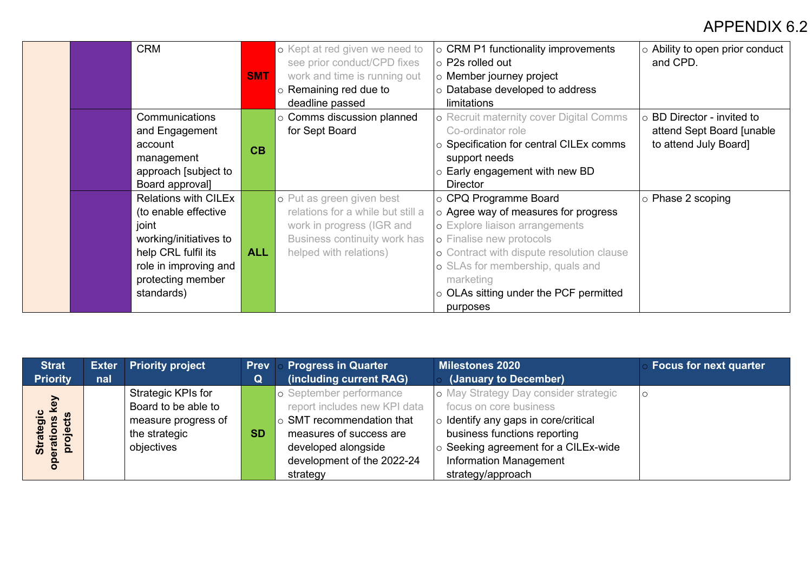| <b>CRM</b>                  |            | o Kept at red given we need to                              | $\circ$ CRM P1 functionality improvements<br>$ $ $\circ$ P2s rolled out | o Ability to open prior conduct<br>and CPD. |
|-----------------------------|------------|-------------------------------------------------------------|-------------------------------------------------------------------------|---------------------------------------------|
|                             | <b>SMT</b> | see prior conduct/CPD fixes<br>work and time is running out | $\circ$ Member journey project                                          |                                             |
|                             |            | $\circ$ Remaining red due to                                | $\circ$ Database developed to address                                   |                                             |
|                             |            | deadline passed                                             | limitations                                                             |                                             |
| Communications              |            | $\circ$ Comms discussion planned                            | o Recruit maternity cover Digital Comms                                 | $\circ$ BD Director - invited to            |
| and Engagement              |            | for Sept Board                                              | Co-ordinator role                                                       | attend Sept Board [unable                   |
| account                     | CB         |                                                             | $\circ$ Specification for central CILEx comms                           | to attend July Board]                       |
| management                  |            |                                                             | support needs                                                           |                                             |
| approach [subject to        |            |                                                             | $\circ$ Early engagement with new BD                                    |                                             |
| Board approval]             |            |                                                             | <b>Director</b>                                                         |                                             |
| <b>Relations with CILEx</b> |            | o Put as green given best                                   | $  \circ \textsf{CPQ} \textsf{ Programme}$ Board                        | $\circ$ Phase 2 scoping                     |
| (to enable effective        |            | relations for a while but still a                           | $\circ$ Agree way of measures for progress                              |                                             |
| joint                       |            | work in progress (IGR and                                   | o Explore liaison arrangements                                          |                                             |
| working/initiatives to      |            | Business continuity work has                                | o Finalise new protocols                                                |                                             |
| help CRL fulfil its         | <b>ALL</b> | helped with relations)                                      | o Contract with dispute resolution clause                               |                                             |
| role in improving and       |            |                                                             | o SLAs for membership, quals and                                        |                                             |
| protecting member           |            |                                                             | marketing                                                               |                                             |
| standards)                  |            |                                                             | $\circ$ OLAs sitting under the PCF permitted                            |                                             |
|                             |            |                                                             | purposes                                                                |                                             |

| <b>Strat</b>                   |     | <b>Exter Priority project</b> | <b>Prev</b> | <b>Progress in Quarter</b>      | <b>Milestones 2020</b>                     | <b>Focus for next quarter</b> |
|--------------------------------|-----|-------------------------------|-------------|---------------------------------|--------------------------------------------|-------------------------------|
| <b>Priority</b>                | nal |                               | Q           | (including current RAG)         | (January to December)                      |                               |
|                                |     | Strategic KPIs for            |             | o September performance         | o May Strategy Day consider strategic      |                               |
| <b>D</b>                       |     | Board to be able to           |             | report includes new KPI data    | focus on core business                     |                               |
| ojects<br>$\mathbf{e}$<br>ဥ္မာ |     | measure progress of           |             | $\circ$ SMT recommendation that | $\circ$ Identify any gaps in core/critical |                               |
|                                |     | the strategic                 | <b>SD</b>   | measures of success are         | business functions reporting               |                               |
| Strai<br>erati<br>proj         |     | objectives                    |             | developed alongside             | Seeking agreement for a CILEx-wide         |                               |
|                                |     |                               |             | development of the 2022-24      | <b>Information Management</b>              |                               |
|                                |     |                               |             | strategy                        | strategy/approach                          |                               |